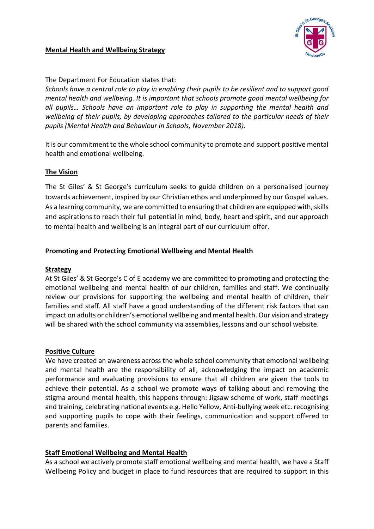## **Mental Health and Wellbeing Strategy**



# The Department For Education states that:

*Schools have a central role to play in enabling their pupils to be resilient and to support good mental health and wellbeing. It is important that schools promote good mental wellbeing for all pupils… Schools have an important role to play in supporting the mental health and wellbeing of their pupils, by developing approaches tailored to the particular needs of their pupils (Mental Health and Behaviour in Schools, November 2018).*

It is our commitment to the whole school community to promote and support positive mental health and emotional wellbeing.

## **The Vision**

The St Giles' & St George's curriculum seeks to guide children on a personalised journey towards achievement, inspired by our Christian ethos and underpinned by our Gospel values. As a learning community, we are committed to ensuring that children are equipped with, skills and aspirations to reach their full potential in mind, body, heart and spirit, and our approach to mental health and wellbeing is an integral part of our curriculum offer.

# **Promoting and Protecting Emotional Wellbeing and Mental Health**

### **Strategy**

At St Giles' & St George's C of E academy we are committed to promoting and protecting the emotional wellbeing and mental health of our children, families and staff. We continually review our provisions for supporting the wellbeing and mental health of children, their families and staff. All staff have a good understanding of the different risk factors that can impact on adults or children's emotional wellbeing and mental health. Our vision and strategy will be shared with the school community via assemblies, lessons and our school website.

### **Positive Culture**

We have created an awareness across the whole school community that emotional wellbeing and mental health are the responsibility of all, acknowledging the impact on academic performance and evaluating provisions to ensure that all children are given the tools to achieve their potential. As a school we promote ways of talking about and removing the stigma around mental health, this happens through: Jigsaw scheme of work, staff meetings and training, celebrating national events e.g. Hello Yellow, Anti-bullying week etc. recognising and supporting pupils to cope with their feelings, communication and support offered to parents and families.

# **Staff Emotional Wellbeing and Mental Health**

As a school we actively promote staff emotional wellbeing and mental health, we have a Staff Wellbeing Policy and budget in place to fund resources that are required to support in this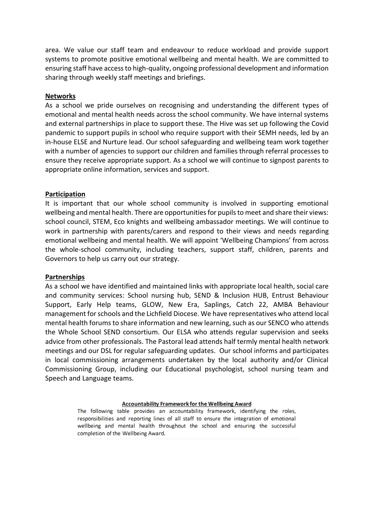area. We value our staff team and endeavour to reduce workload and provide support systems to promote positive emotional wellbeing and mental health. We are committed to ensuring staff have access to high-quality, ongoing professional development and information sharing through weekly staff meetings and briefings.

#### **Networks**

As a school we pride ourselves on recognising and understanding the different types of emotional and mental health needs across the school community. We have internal systems and external partnerships in place to support these. The Hive was set up following the Covid pandemic to support pupils in school who require support with their SEMH needs, led by an in-house ELSE and Nurture lead. Our school safeguarding and wellbeing team work together with a number of agencies to support our children and families through referral processes to ensure they receive appropriate support. As a school we will continue to signpost parents to appropriate online information, services and support.

#### **Participation**

It is important that our whole school community is involved in supporting emotional wellbeing and mental health. There are opportunities for pupils to meet and share their views: school council, STEM, Eco knights and wellbeing ambassador meetings. We will continue to work in partnership with parents/carers and respond to their views and needs regarding emotional wellbeing and mental health. We will appoint 'Wellbeing Champions' from across the whole-school community, including teachers, support staff, children, parents and Governors to help us carry out our strategy.

#### **Partnerships**

As a school we have identified and maintained links with appropriate local health, social care and community services: School nursing hub, SEND & Inclusion HUB, Entrust Behaviour Support, Early Help teams, GLOW, New Era, Saplings, Catch 22, AMBA Behaviour management for schools and the Lichfield Diocese. We have representatives who attend local mental health forums to share information and new learning, such as our SENCO who attends the Whole School SEND consortium. Our ELSA who attends regular supervision and seeks advice from other professionals. The Pastoral lead attends half termly mental health network meetings and our DSL for regular safeguarding updates. Our school informs and participates in local commissioning arrangements undertaken by the local authority and/or Clinical Commissioning Group, including our Educational psychologist, school nursing team and Speech and Language teams.

#### **Accountability Framework for the Wellbeing Award**

The following table provides an accountability framework, identifying the roles, responsibilities and reporting lines of all staff to ensure the integration of emotional wellbeing and mental health throughout the school and ensuring the successful completion of the Wellbeing Award.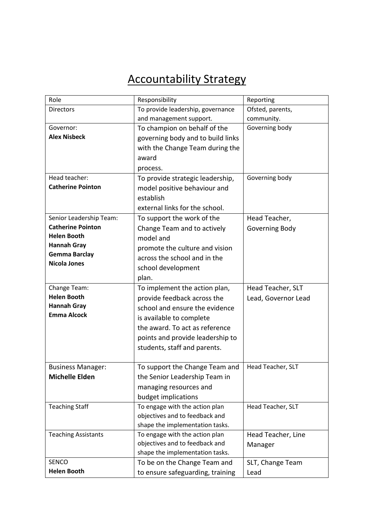# Accountability Strategy

| Role                       | Responsibility                    | Reporting           |
|----------------------------|-----------------------------------|---------------------|
| <b>Directors</b>           | To provide leadership, governance | Ofsted, parents,    |
|                            | and management support.           | community.          |
| Governor:                  | To champion on behalf of the      | Governing body      |
| <b>Alex Nisbeck</b>        | governing body and to build links |                     |
|                            | with the Change Team during the   |                     |
|                            | award                             |                     |
|                            | process.                          |                     |
| Head teacher:              | To provide strategic leadership,  | Governing body      |
| <b>Catherine Pointon</b>   | model positive behaviour and      |                     |
|                            | establish                         |                     |
|                            | external links for the school.    |                     |
| Senior Leadership Team:    | To support the work of the        | Head Teacher,       |
| <b>Catherine Pointon</b>   | Change Team and to actively       | Governing Body      |
| <b>Helen Booth</b>         | model and                         |                     |
| <b>Hannah Gray</b>         | promote the culture and vision    |                     |
| <b>Gemma Barclay</b>       | across the school and in the      |                     |
| <b>Nicola Jones</b>        | school development                |                     |
|                            | plan.                             |                     |
| Change Team:               | To implement the action plan,     | Head Teacher, SLT   |
| <b>Helen Booth</b>         | provide feedback across the       | Lead, Governor Lead |
| <b>Hannah Gray</b>         | school and ensure the evidence    |                     |
| <b>Emma Alcock</b>         | is available to complete          |                     |
|                            | the award. To act as reference    |                     |
|                            | points and provide leadership to  |                     |
|                            |                                   |                     |
|                            | students, staff and parents.      |                     |
| <b>Business Manager:</b>   | To support the Change Team and    | Head Teacher, SLT   |
| <b>Michelle Elden</b>      | the Senior Leadership Team in     |                     |
|                            | managing resources and            |                     |
|                            | budget implications               |                     |
| <b>Teaching Staff</b>      | To engage with the action plan    | Head Teacher, SLT   |
|                            | objectives and to feedback and    |                     |
|                            | shape the implementation tasks.   |                     |
| <b>Teaching Assistants</b> | To engage with the action plan    | Head Teacher, Line  |
|                            | objectives and to feedback and    | Manager             |
|                            | shape the implementation tasks.   |                     |
| <b>SENCO</b>               | To be on the Change Team and      | SLT, Change Team    |
| <b>Helen Booth</b>         | to ensure safeguarding, training  | Lead                |